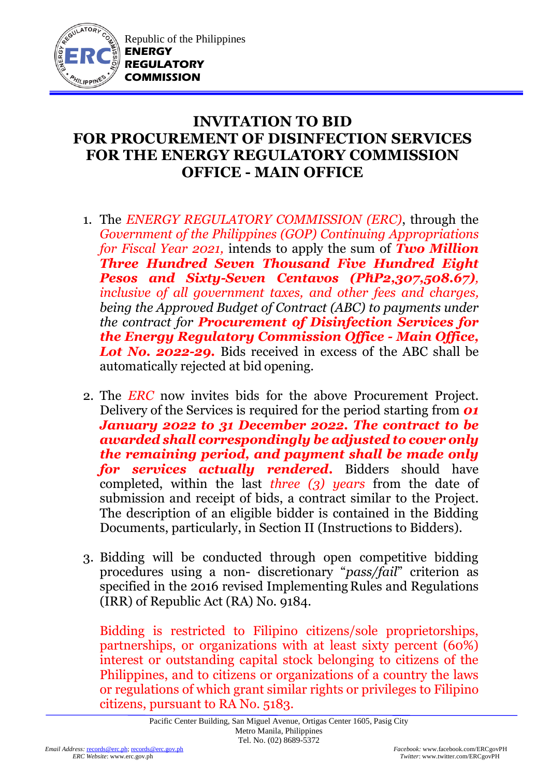

## **INVITATION TO BID FOR PROCUREMENT OF DISINFECTION SERVICES FOR THE ENERGY REGULATORY COMMISSION OFFICE - MAIN OFFICE**

- 1. The *ENERGY REGULATORY COMMISSION (ERC)*, through the *Government of the Philippines (GOP) Continuing Appropriations for Fiscal Year 2021,* intends to apply the sum of *Two Million Three Hundred Seven Thousand Five Hundred Eight Pesos and Sixty-Seven Centavos (PhP2,307,508.67), inclusive of all government taxes, and other fees and charges, being the Approved Budget of Contract (ABC) to payments under the contract for Procurement of Disinfection Services for the Energy Regulatory Commission Office - Main Office, Lot No. 2022-29.* Bids received in excess of the ABC shall be automatically rejected at bid opening.
- 2. The *ERC* now invites bids for the above Procurement Project. Delivery of the Services is required for the period starting from *01 January 2022 to 31 December 2022. The contract to be awarded shall correspondingly be adjusted to cover only the remaining period, and payment shall be made only for services actually rendered***.** Bidders should have completed, within the last *three (3) years* from the date of submission and receipt of bids, a contract similar to the Project. The description of an eligible bidder is contained in the Bidding Documents, particularly, in Section II (Instructions to Bidders).
- 3. Bidding will be conducted through open competitive bidding procedures using a non- discretionary "*pass/fail*" criterion as specified in the 2016 revised Implementing Rules and Regulations (IRR) of Republic Act (RA) No. 9184.

Bidding is restricted to Filipino citizens/sole proprietorships, partnerships, or organizations with at least sixty percent (60%) interest or outstanding capital stock belonging to citizens of the Philippines, and to citizens or organizations of a country the laws or regulations of which grant similar rights or privileges to Filipino citizens, pursuant to RA No. 5183.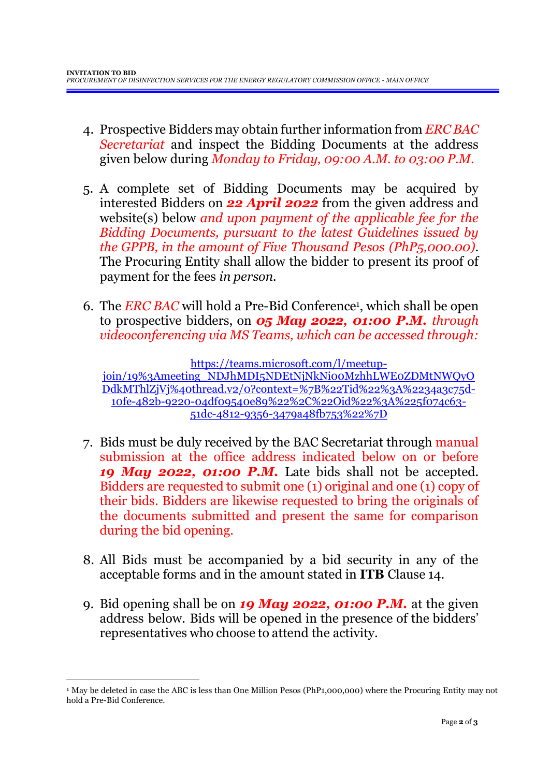- 4. Prospective Bidders may obtain further information from *ERC BAC Secretariat* and inspect the Bidding Documents at the address given below during *Monday to Friday, 09:00 A.M. to 03:00 P.M*.
- 5. A complete set of Bidding Documents may be acquired by interested Bidders on *22 April 2022* from the given address and website(s) below *and upon payment of the applicable fee for the Bidding Documents, pursuant to the latest Guidelines issued by the GPPB, in the amount of Five Thousand Pesos (PhP5,000.00)*. The Procuring Entity shall allow the bidder to present its proof of payment for the fees *in person.*
- 6. The *ERC BAC* will hold a Pre-Bid Conference<sup>1</sup> , which shall be open to prospective bidders, on *05 May 2022, 01:00 P.M. through videoconferencing via MS Teams, which can be accessed through:*

[https://teams.microsoft.com/l/meetup](https://teams.microsoft.com/l/meetup-join/19%3Ameeting_NDJhMDI5NDEtNjNkNi00MzhhLWE0ZDMtNWQyODdkMThlZjVj%40thread.v2/0?context=%7B%22Tid%22%3A%2234a3c75d-10fe-482b-9220-04df09540e89%22%2C%22Oid%22%3A%225f074c63-51dc-4812-9356-3479a48fb753%22%7D)[join/19%3Ameeting\\_NDJhMDI5NDEtNjNkNi00MzhhLWE0ZDMtNWQyO](https://teams.microsoft.com/l/meetup-join/19%3Ameeting_NDJhMDI5NDEtNjNkNi00MzhhLWE0ZDMtNWQyODdkMThlZjVj%40thread.v2/0?context=%7B%22Tid%22%3A%2234a3c75d-10fe-482b-9220-04df09540e89%22%2C%22Oid%22%3A%225f074c63-51dc-4812-9356-3479a48fb753%22%7D) [DdkMThlZjVj%40thread.v2/0?context=%7B%22Tid%22%3A%2234a3c75d-](https://teams.microsoft.com/l/meetup-join/19%3Ameeting_NDJhMDI5NDEtNjNkNi00MzhhLWE0ZDMtNWQyODdkMThlZjVj%40thread.v2/0?context=%7B%22Tid%22%3A%2234a3c75d-10fe-482b-9220-04df09540e89%22%2C%22Oid%22%3A%225f074c63-51dc-4812-9356-3479a48fb753%22%7D)[10fe-482b-9220-04df09540e89%22%2C%22Oid%22%3A%225f074c63-](https://teams.microsoft.com/l/meetup-join/19%3Ameeting_NDJhMDI5NDEtNjNkNi00MzhhLWE0ZDMtNWQyODdkMThlZjVj%40thread.v2/0?context=%7B%22Tid%22%3A%2234a3c75d-10fe-482b-9220-04df09540e89%22%2C%22Oid%22%3A%225f074c63-51dc-4812-9356-3479a48fb753%22%7D) [51dc-4812-9356-3479a48fb753%22%7D](https://teams.microsoft.com/l/meetup-join/19%3Ameeting_NDJhMDI5NDEtNjNkNi00MzhhLWE0ZDMtNWQyODdkMThlZjVj%40thread.v2/0?context=%7B%22Tid%22%3A%2234a3c75d-10fe-482b-9220-04df09540e89%22%2C%22Oid%22%3A%225f074c63-51dc-4812-9356-3479a48fb753%22%7D)

- 7. Bids must be duly received by the BAC Secretariat through manual submission at the office address indicated below on or before *19 May 2022, 01:00 P.M.* Late bids shall not be accepted. Bidders are requested to submit one (1) original and one (1) copy of their bids. Bidders are likewise requested to bring the originals of the documents submitted and present the same for comparison during the bid opening.
- 8. All Bids must be accompanied by a bid security in any of the acceptable forms and in the amount stated in **ITB** Clause 14.
- 9. Bid opening shall be on *19 May 2022, 01:00 P.M.* at the given address below. Bids will be opened in the presence of the bidders' representatives who choose to attend the activity.

<u>.</u>

<sup>1</sup> May be deleted in case the ABC is less than One Million Pesos (PhP1,000,000) where the Procuring Entity may not hold a Pre-Bid Conference.